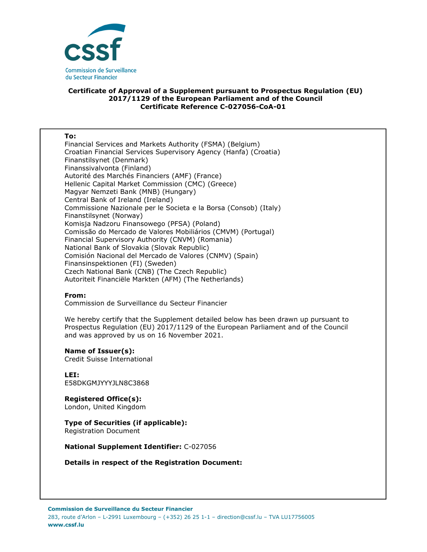

## **Certificate of Approval of a Supplement pursuant to Prospectus Regulation (EU) 2017/1129 of the European Parliament and of the Council Certificate Reference C-027056-CoA-01**

#### **To:**

Financial Services and Markets Authority (FSMA) (Belgium) Croatian Financial Services Supervisory Agency (Hanfa) (Croatia) Finanstilsynet (Denmark) Finanssivalvonta (Finland) Autorité des Marchés Financiers (AMF) (France) Hellenic Capital Market Commission (CMC) (Greece) Magyar Nemzeti Bank (MNB) (Hungary) Central Bank of Ireland (Ireland) Commissione Nazionale per le Societa e la Borsa (Consob) (Italy) Finanstilsynet (Norway) Komisja Nadzoru Finansowego (PFSA) (Poland) Comissão do Mercado de Valores Mobiliários (CMVM) (Portugal) Financial Supervisory Authority (CNVM) (Romania) National Bank of Slovakia (Slovak Republic) Comisión Nacional del Mercado de Valores (CNMV) (Spain) Finansinspektionen (FI) (Sweden) Czech National Bank (CNB) (The Czech Republic) Autoriteit Financiële Markten (AFM) (The Netherlands)

### **From:**

Commission de Surveillance du Secteur Financier

We hereby certify that the Supplement detailed below has been drawn up pursuant to Prospectus Regulation (EU) 2017/1129 of the European Parliament and of the Council and was approved by us on 16 November 2021.

#### **Name of Issuer(s):**

Credit Suisse International

**LEI:** E58DKGMJYYYJLN8C3868

**Registered Office(s):**  London, United Kingdom

# **Type of Securities (if applicable):**

Registration Document

**National Supplement Identifier:** C-027056

**Details in respect of the Registration Document:**